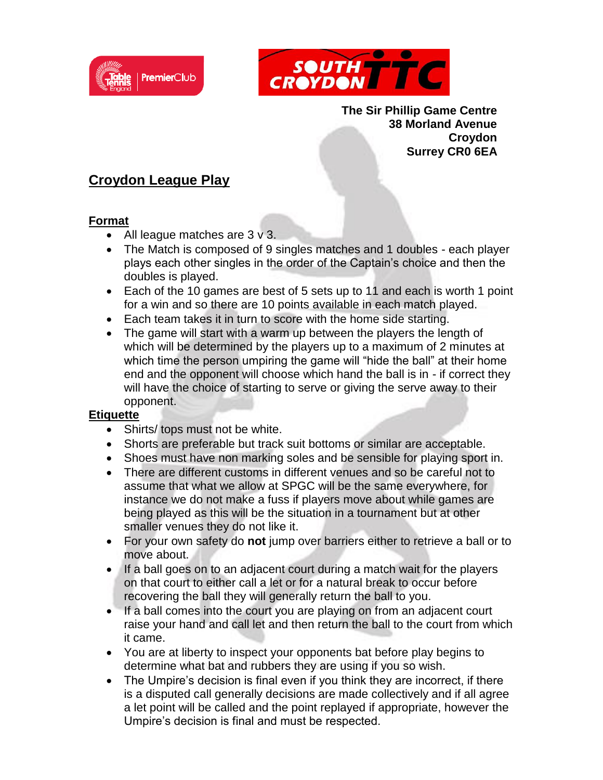



**The Sir Phillip Game Centre 38 Morland Avenue Croydon Surrey CR0 6EA**

## **Croydon League Play**

## **Format**

- All league matches are 3 v 3.
- The Match is composed of 9 singles matches and 1 doubles each player plays each other singles in the order of the Captain's choice and then the doubles is played.
- Each of the 10 games are best of 5 sets up to 11 and each is worth 1 point for a win and so there are 10 points available in each match played.
- Each team takes it in turn to score with the home side starting.
- The game will start with a warm up between the players the length of which will be determined by the players up to a maximum of 2 minutes at which time the person umpiring the game will "hide the ball" at their home end and the opponent will choose which hand the ball is in - if correct they will have the choice of starting to serve or giving the serve away to their opponent.

## **Etiquette**

- Shirts/ tops must not be white.
- Shorts are preferable but track suit bottoms or similar are acceptable.
- Shoes must have non marking soles and be sensible for playing sport in.
- There are different customs in different venues and so be careful not to assume that what we allow at SPGC will be the same everywhere, for instance we do not make a fuss if players move about while games are being played as this will be the situation in a tournament but at other smaller venues they do not like it.
- For your own safety do **not** jump over barriers either to retrieve a ball or to move about.
- If a ball goes on to an adjacent court during a match wait for the players on that court to either call a let or for a natural break to occur before recovering the ball they will generally return the ball to you.
- If a ball comes into the court you are playing on from an adjacent court raise your hand and call let and then return the ball to the court from which it came.
- You are at liberty to inspect your opponents bat before play begins to determine what bat and rubbers they are using if you so wish.
- The Umpire's decision is final even if you think they are incorrect, if there is a disputed call generally decisions are made collectively and if all agree a let point will be called and the point replayed if appropriate, however the Umpire's decision is final and must be respected.